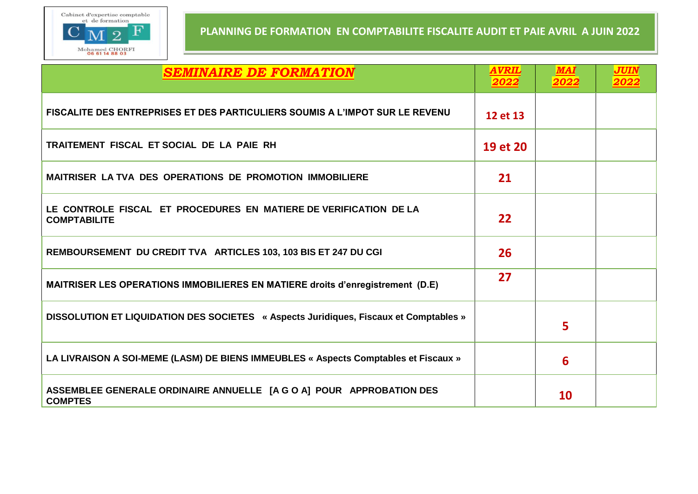

| <b>SEMINAIRE DE FORMATION</b>                                                            | <i><b>AVRIL</b></i><br>2022 | <b>MAI</b><br>2022 | <b>JUIN</b><br>2022 |
|------------------------------------------------------------------------------------------|-----------------------------|--------------------|---------------------|
| FISCALITE DES ENTREPRISES ET DES PARTICULIERS SOUMIS A L'IMPOT SUR LE REVENU             | 12 et 13                    |                    |                     |
| TRAITEMENT FISCAL ET SOCIAL DE LA PAIE RH                                                | 19 et 20                    |                    |                     |
| <b>MAITRISER LA TVA DES OPERATIONS DE PROMOTION IMMOBILIERE</b>                          | 21                          |                    |                     |
| LE CONTROLE FISCAL ET PROCEDURES EN MATIERE DE VERIFICATION DE LA<br><b>COMPTABILITE</b> | 22                          |                    |                     |
| REMBOURSEMENT DU CREDIT TVA ARTICLES 103, 103 BIS ET 247 DU CGI                          | 26                          |                    |                     |
| <b>MAITRISER LES OPERATIONS IMMOBILIERES EN MATIERE droits d'enregistrement (D.E)</b>    | 27                          |                    |                     |
| DISSOLUTION ET LIQUIDATION DES SOCIETES « Aspects Juridiques, Fiscaux et Comptables »    |                             | 5                  |                     |
| LA LIVRAISON A SOI-MEME (LASM) DE BIENS IMMEUBLES « Aspects Comptables et Fiscaux »      |                             | 6                  |                     |
| ASSEMBLEE GENERALE ORDINAIRE ANNUELLE [A G O A] POUR APPROBATION DES<br><b>COMPTES</b>   |                             | 10                 |                     |